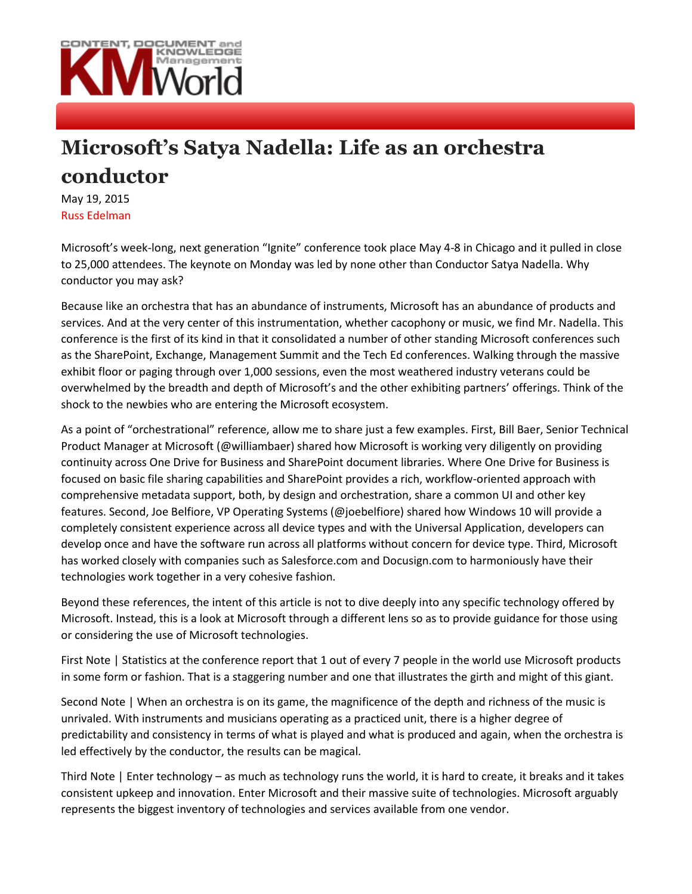

## **Microsoft's Satya Nadella: Life as an orchestra conductor**

May 19, 2015 Russ Edelman

Microsoft's week-long, next generation "Ignite" conference took place May 4-8 in Chicago and it pulled in close to 25,000 attendees. The keynote on Monday was led by none other than Conductor Satya Nadella. Why conductor you may ask?

Because like an orchestra that has an abundance of instruments, Microsoft has an abundance of products and services. And at the very center of this instrumentation, whether cacophony or music, we find Mr. Nadella. This conference is the first of its kind in that it consolidated a number of other standing Microsoft conferences such as the SharePoint, Exchange, Management Summit and the Tech Ed conferences. Walking through the massive exhibit floor or paging through over 1,000 sessions, even the most weathered industry veterans could be overwhelmed by the breadth and depth of Microsoft's and the other exhibiting partners' offerings. Think of the shock to the newbies who are entering the Microsoft ecosystem.

As a point of "orchestrational" reference, allow me to share just a few examples. First, Bill Baer, Senior Technical Product Manager at Microsoft (@williambaer) shared how Microsoft is working very diligently on providing continuity across One Drive for Business and SharePoint document libraries. Where One Drive for Business is focused on basic file sharing capabilities and SharePoint provides a rich, workflow-oriented approach with comprehensive metadata support, both, by design and orchestration, share a common UI and other key features. Second, Joe Belfiore, VP Operating Systems (@joebelfiore) shared how Windows 10 will provide a completely consistent experience across all device types and with the Universal Application, developers can develop once and have the software run across all platforms without concern for device type. Third, Microsoft has worked closely with companies such as Salesforce.com and Docusign.com to harmoniously have their technologies work together in a very cohesive fashion.

Beyond these references, the intent of this article is not to dive deeply into any specific technology offered by Microsoft. Instead, this is a look at Microsoft through a different lens so as to provide guidance for those using or considering the use of Microsoft technologies.

First Note | Statistics at the conference report that 1 out of every 7 people in the world use Microsoft products in some form or fashion. That is a staggering number and one that illustrates the girth and might of this giant.

Second Note | When an orchestra is on its game, the magnificence of the depth and richness of the music is unrivaled. With instruments and musicians operating as a practiced unit, there is a higher degree of predictability and consistency in terms of what is played and what is produced and again, when the orchestra is led effectively by the conductor, the results can be magical.

Third Note | Enter technology – as much as technology runs the world, it is hard to create, it breaks and it takes consistent upkeep and innovation. Enter Microsoft and their massive suite of technologies. Microsoft arguably represents the biggest inventory of technologies and services available from one vendor.